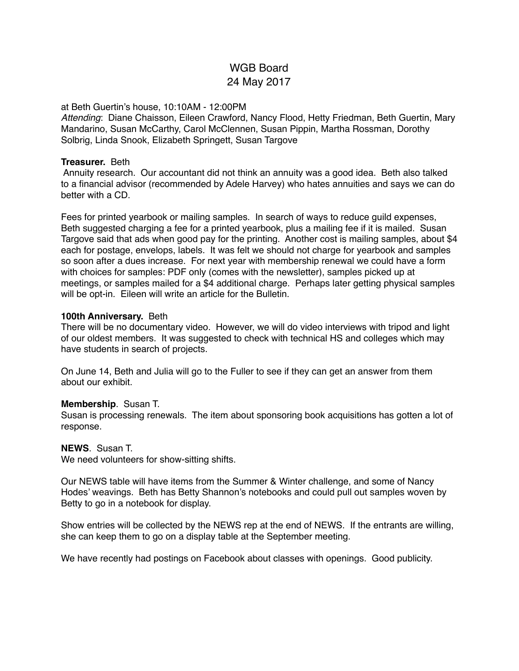# WGB Board 24 May 2017

#### at Beth Guertin's house, 10:10AM - 12:00PM

*Attending*: Diane Chaisson, Eileen Crawford, Nancy Flood, Hetty Friedman, Beth Guertin, Mary Mandarino, Susan McCarthy, Carol McClennen, Susan Pippin, Martha Rossman, Dorothy Solbrig, Linda Snook, Elizabeth Springett, Susan Targove

#### **Treasurer.** Beth

 Annuity research. Our accountant did not think an annuity was a good idea. Beth also talked to a financial advisor (recommended by Adele Harvey) who hates annuities and says we can do better with a CD.

Fees for printed yearbook or mailing samples. In search of ways to reduce guild expenses, Beth suggested charging a fee for a printed yearbook, plus a mailing fee if it is mailed. Susan Targove said that ads when good pay for the printing. Another cost is mailing samples, about \$4 each for postage, envelops, labels. It was felt we should not charge for yearbook and samples so soon after a dues increase. For next year with membership renewal we could have a form with choices for samples: PDF only (comes with the newsletter), samples picked up at meetings, or samples mailed for a \$4 additional charge. Perhaps later getting physical samples will be opt-in. Eileen will write an article for the Bulletin.

## **100th Anniversary.** Beth

There will be no documentary video. However, we will do video interviews with tripod and light of our oldest members. It was suggested to check with technical HS and colleges which may have students in search of projects.

On June 14, Beth and Julia will go to the Fuller to see if they can get an answer from them about our exhibit.

#### **Membership**. Susan T.

Susan is processing renewals. The item about sponsoring book acquisitions has gotten a lot of response.

#### **NEWS**. Susan T.

We need volunteers for show-sitting shifts.

Our NEWS table will have items from the Summer & Winter challenge, and some of Nancy Hodes' weavings. Beth has Betty Shannon's notebooks and could pull out samples woven by Betty to go in a notebook for display.

Show entries will be collected by the NEWS rep at the end of NEWS. If the entrants are willing, she can keep them to go on a display table at the September meeting.

We have recently had postings on Facebook about classes with openings. Good publicity.